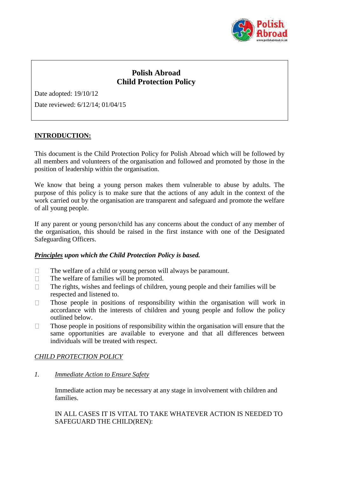

# **Polish Abroad Child Protection Policy**

Date adopted: 19/10/12

Date reviewed: 6/12/14; 01/04/15

# **INTRODUCTION:**

This document is the Child Protection Policy for Polish Abroad which will be followed by all members and volunteers of the organisation and followed and promoted by those in the position of leadership within the organisation.

We know that being a young person makes them vulnerable to abuse by adults. The purpose of this policy is to make sure that the actions of any adult in the context of the work carried out by the organisation are transparent and safeguard and promote the welfare of all young people.

If any parent or young person/child has any concerns about the conduct of any member of the organisation, this should be raised in the first instance with one of the Designated Safeguarding Officers.

### *Principles upon which the Child Protection Policy is based.*

- $\Box$ The welfare of a child or young person will always be paramount.
- $\Box$ The welfare of families will be promoted.
- $\Box$ The rights, wishes and feelings of children, young people and their families will be respected and listened to.
- Those people in positions of responsibility within the organisation will work in  $\Box$ accordance with the interests of children and young people and follow the policy outlined below.
- Those people in positions of responsibility within the organisation will ensure that the  $\Box$ same opportunities are available to everyone and that all differences between individuals will be treated with respect.

# *CHILD PROTECTION POLICY*

### *1. Immediate Action to Ensure Safety*

Immediate action may be necessary at any stage in involvement with children and families.

IN ALL CASES IT IS VITAL TO TAKE WHATEVER ACTION IS NEEDED TO SAFEGUARD THE CHILD(REN):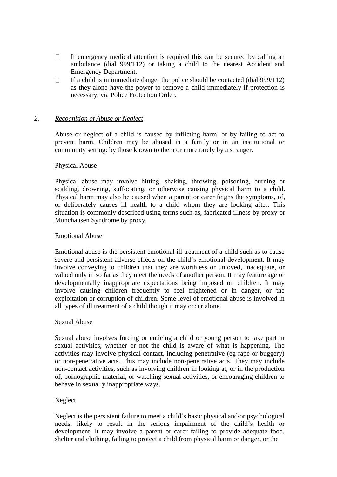- $\Box$ If emergency medical attention is required this can be secured by calling an ambulance (dial 999/112) or taking a child to the nearest Accident and Emergency Department.
- If a child is in immediate danger the police should be contacted (dial 999/112)  $\Box$ as they alone have the power to remove a child immediately if protection is necessary, via Police Protection Order.

## *2. Recognition of Abuse or Neglect*

Abuse or neglect of a child is caused by inflicting harm, or by failing to act to prevent harm. Children may be abused in a family or in an institutional or community setting: by those known to them or more rarely by a stranger.

### Physical Abuse

Physical abuse may involve hitting, shaking, throwing, poisoning, burning or scalding, drowning, suffocating, or otherwise causing physical harm to a child. Physical harm may also be caused when a parent or carer feigns the symptoms, of, or deliberately causes ill health to a child whom they are looking after. This situation is commonly described using terms such as, fabricated illness by proxy or Munchausen Syndrome by proxy.

#### Emotional Abuse

Emotional abuse is the persistent emotional ill treatment of a child such as to cause severe and persistent adverse effects on the child's emotional development. It may involve conveying to children that they are worthless or unloved, inadequate, or valued only in so far as they meet the needs of another person. It may feature age or developmentally inappropriate expectations being imposed on children. It may involve causing children frequently to feel frightened or in danger, or the exploitation or corruption of children. Some level of emotional abuse is involved in all types of ill treatment of a child though it may occur alone.

### Sexual Abuse

Sexual abuse involves forcing or enticing a child or young person to take part in sexual activities, whether or not the child is aware of what is happening. The activities may involve physical contact, including penetrative (eg rape or buggery) or non-penetrative acts. This may include non-penetrative acts. They may include non-contact activities, such as involving children in looking at, or in the production of, pornographic material, or watching sexual activities, or encouraging children to behave in sexually inappropriate ways.

### Neglect

Neglect is the persistent failure to meet a child's basic physical and/or psychological needs, likely to result in the serious impairment of the child's health or development. It may involve a parent or carer failing to provide adequate food, shelter and clothing, failing to protect a child from physical harm or danger, or the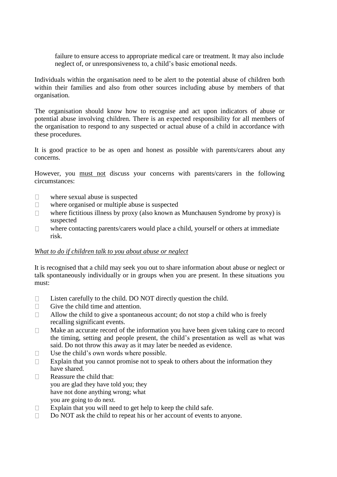failure to ensure access to appropriate medical care or treatment. It may also include neglect of, or unresponsiveness to, a child's basic emotional needs.

Individuals within the organisation need to be alert to the potential abuse of children both within their families and also from other sources including abuse by members of that organisation.

The organisation should know how to recognise and act upon indicators of abuse or potential abuse involving children. There is an expected responsibility for all members of the organisation to respond to any suspected or actual abuse of a child in accordance with these procedures.

It is good practice to be as open and honest as possible with parents/carers about any concerns.

However, you must not discuss your concerns with parents/carers in the following circumstances:

- $\Box$ where sexual abuse is suspected
- where organised or multiple abuse is suspected  $\Box$
- $\Box$ where fictitious illness by proxy (also known as Munchausen Syndrome by proxy) is suspected
- where contacting parents/carers would place a child, yourself or others at immediate  $\Box$ risk.

#### *What to do if children talk to you about abuse or neglect*

It is recognised that a child may seek you out to share information about abuse or neglect or talk spontaneously individually or in groups when you are present. In these situations you must:

- $\Box$ Listen carefully to the child. DO NOT directly question the child.
- $\Box$ Give the child time and attention.
- Allow the child to give a spontaneous account; do not stop a child who is freely  $\Box$ recalling significant events.
- $\Box$ Make an accurate record of the information you have been given taking care to record the timing, setting and people present, the child's presentation as well as what was said. Do not throw this away as it may later be needed as evidence.
- $\Box$ Use the child's own words where possible.
- $\Box$ Explain that you cannot promise not to speak to others about the information they have shared.
- Reassure the child that:  $\Box$ you are glad they have told you; they have not done anything wrong; what you are going to do next.
- Explain that you will need to get help to keep the child safe.  $\Box$
- $\Box$ Do NOT ask the child to repeat his or her account of events to anyone.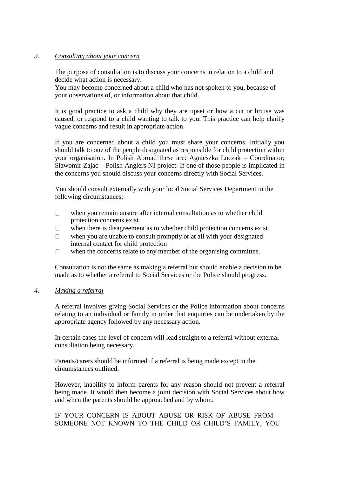## *3. Consulting about your concern*

The purpose of consultation is to discuss your concerns in relation to a child and decide what action is necessary.

You may become concerned about a child who has not spoken to you, because of your observations of, or information about that child.

It is good practice to ask a child why they are upset or how a cut or bruise was caused, or respond to a child wanting to talk to you. This practice can help clarify vague concerns and result in appropriate action.

If you are concerned about a child you must share your concerns. Initially you should talk to one of the people designated as responsible for child protection within your organisation. In Polish Abroad these are: Agnieszka Luczak – Coordinator; Slawomir Zajac – Polish Anglers NI project. If one of those people is implicated in the concerns you should discuss your concerns directly with Social Services.

You should consult externally with your local Social Services Department in the following circumstances:

- $\Box$ when you remain unsure after internal consultation as to whether child protection concerns exist
- $\Box$ when there is disagreement as to whether child protection concerns exist
- $\Box$ when you are unable to consult promptly or at all with your designated internal contact for child protection
- $\Box$ when the concerns relate to any member of the organising committee.

Consultation is not the same as making a referral but should enable a decision to be made as to whether a referral to Social Services or the Police should progress.

### *4. Making a referral*

A referral involves giving Social Services or the Police information about concerns relating to an individual or family in order that enquiries can be undertaken by the appropriate agency followed by any necessary action.

In certain cases the level of concern will lead straight to a referral without external consultation being necessary.

Parents/carers should be informed if a referral is being made except in the circumstances outlined.

However, inability to inform parents for any reason should not prevent a referral being made. It would then become a joint decision with Social Services about how and when the parents should be approached and by whom.

IF YOUR CONCERN IS ABOUT ABUSE OR RISK OF ABUSE FROM SOMEONE NOT KNOWN TO THE CHILD OR CHILD'S FAMILY, YOU